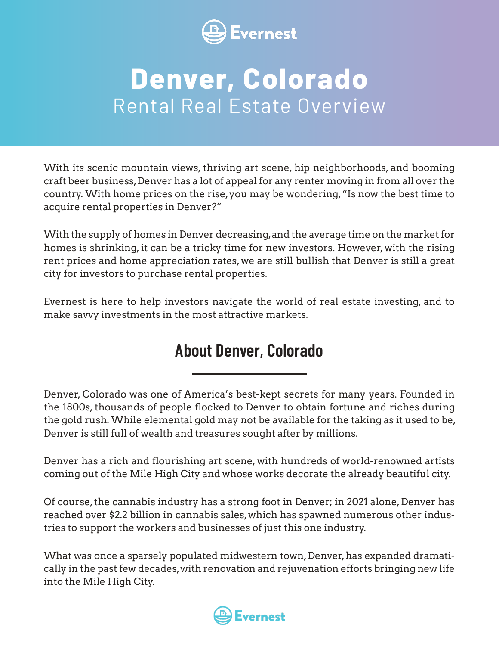

## **Denver, Colorado**  Rental Real Estate Overview

With its scenic mountain views, thriving art scene, hip neighborhoods, and booming craft beer business, Denver has a lot of appeal for any renter moving in from all over the country. With home prices on the rise, you may be wondering, "Is now the best time to acquire rental properties in Denver?"

With the supply of homes in Denver decreasing, and the average time on the market for homes is shrinking, it can be a tricky time for new investors. However, with the rising rent prices and home appreciation rates, we are still bullish that Denver is still a great city for investors to purchase rental properties.

Evernest is here to help investors navigate the world of real estate investing, and to make savvy investments in the most attractive markets.

### **About Denver, Colorado**

Denver, Colorado was one of America's best-kept secrets for many years. Founded in the 1800s, thousands of people flocked to Denver to obtain fortune and riches during the gold rush. While elemental gold may not be available for the taking as it used to be, Denver is still full of wealth and treasures sought after by millions.

Denver has a rich and flourishing art scene, with hundreds of world-renowned artists coming out of the Mile High City and whose works decorate the already beautiful city.

Of course, the cannabis industry has a strong foot in Denver; in 2021 alone, Denver has reached over \$2.2 billion in cannabis sales, which has spawned numerous other industries to support the workers and businesses of just this one industry.

What was once a sparsely populated midwestern town, Denver, has expanded dramatically in the past few decades, with renovation and rejuvenation efforts bringing new life into the Mile High City.

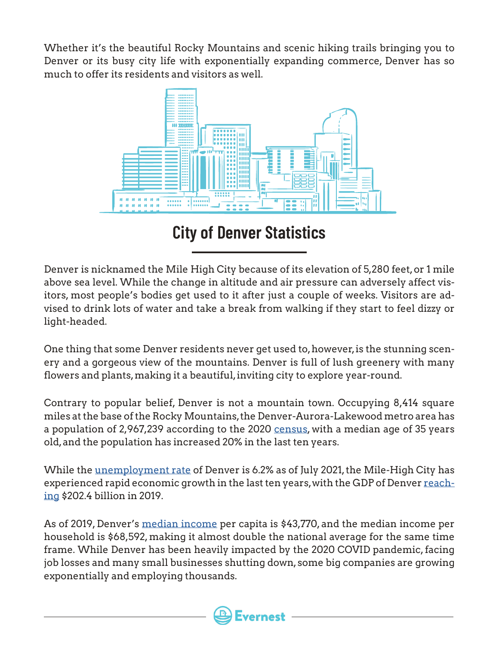Whether it's the beautiful Rocky Mountains and scenic hiking trails bringing you to Denver or its busy city life with exponentially expanding commerce, Denver has so much to offer its residents and visitors as well.



**City of Denver Statistics**

Denver is nicknamed the Mile High City because of its elevation of 5,280 feet, or 1 mile above sea level. While the change in altitude and air pressure can adversely affect visitors, most people's bodies get used to it after just a couple of weeks. Visitors are advised to drink lots of water and take a break from walking if they start to feel dizzy or light-headed.

One thing that some Denver residents never get used to, however, is the stunning scenery and a gorgeous view of the mountains. Denver is full of lush greenery with many flowers and plants, making it a beautiful, inviting city to explore year-round.

Contrary to popular belief, Denver is not a mountain town. Occupying 8,414 square miles at the base of the Rocky Mountains, the Denver-Aurora-Lakewood metro area has a population of 2,967,239 according to the 2020 [census](https://censusreporter.org/profiles/31000US19740-denver-aurora-lakewood-co-metro-area/), with a median age of 35 years old, and the population has increased 20% in the last ten years.

While the [unemployment rate](https://www.deptofnumbers.com/unemployment/colorado/denver/) of Denver is 6.2% as of July 2021, the Mile-High City has experienced rapid economic growth in the last ten years, with the GDP of Denver [reach](https://www.statista.com/statistics/183883/gdp-of-the-denver-metro-area/)[ing](https://www.statista.com/statistics/183883/gdp-of-the-denver-metro-area/) \$202.4 billion in 2019.

As of 2019, Denver's [median income](https://www.census.gov/quickfacts/fact/table/denvercitycolorado,US/PST045219) per capita is \$43,770, and the median income per household is \$68,592, making it almost double the national average for the same time frame. While Denver has been heavily impacted by the 2020 COVID pandemic, facing job losses and many small businesses shutting down, some big companies are growing exponentially and employing thousands.

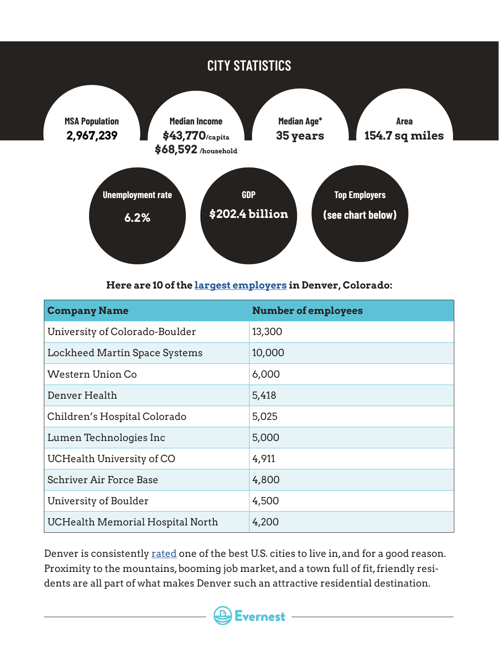

#### **Here are 10 of the [largest employers](https://www.careerinfonet.org/oview6.asp?printer=true&stfips=08) in Denver, Colorado:**

| <b>Company Name</b>              | <b>Number of employees</b> |
|----------------------------------|----------------------------|
| University of Colorado-Boulder   | 13,300                     |
| Lockheed Martin Space Systems    | 10,000                     |
| <b>Western Union Co</b>          | 6,000                      |
| Denver Health                    | 5,418                      |
| Children's Hospital Colorado     | 5,025                      |
| Lumen Technologies Inc           | 5,000                      |
| UCHealth University of CO        | 4,911                      |
| <b>Schriver Air Force Base</b>   | 4,800                      |
| University of Boulder            | 4,500                      |
| UCHealth Memorial Hospital North | 4,200                      |

Denver is consistently [rated](https://realestate.usnews.com/places/rankings/best-places-to-live) one of the best U.S. cities to live in, and for a good reason. Proximity to the mountains, booming job market, and a town full of fit, friendly residents are all part of what makes Denver such an attractive residential destination.

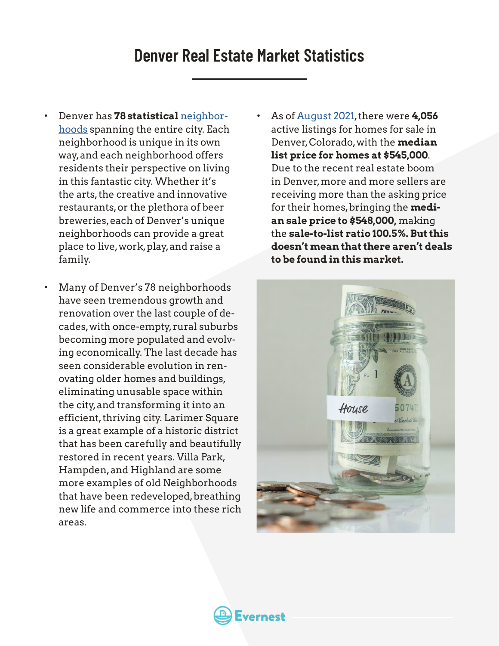#### **Denver Real Estate Market Statistics**

- Denver has **78 statistical** [neighbor](https://www.denvergov.org/maps/map/neighborhoods)[hoods](https://www.denvergov.org/maps/map/neighborhoods) spanning the entire city. Each neighborhood is unique in its own way, and each neighborhood offers residents their perspective on living in this fantastic city. Whether it's the arts, the creative and innovative restaurants, or the plethora of beer breweries, each of Denver's unique neighborhoods can provide a great place to live, work, play, and raise a family.
- Many of Denver's 78 neighborhoods have seen tremendous growth and renovation over the last couple of decades, with once-empty, rural suburbs becoming more populated and evolving economically. The last decade has seen considerable evolution in renovating older homes and buildings, eliminating unusable space within the city, and transforming it into an efficient, thriving city. Larimer Square is a great example of a historic district that has been carefully and beautifully restored in recent years. Villa Park, Hampden, and Highland are some more examples of old Neighborhoods that have been redeveloped, breathing new life and commerce into these rich areas.
- As of [August 2021](https://www.realtor.com/realestateandhomes-search/Denver_CO/overview), there were **4,056** active listings for homes for sale in Denver, Colorado, with the **median list price for homes at \$545,000**. Due to the recent real estate boom in Denver, more and more sellers are receiving more than the asking price for their homes, bringing the **median sale price to \$548,000,** making the **sale-to-list ratio 100.5%. But this doesn't mean that there aren't deals to be found in this market.**

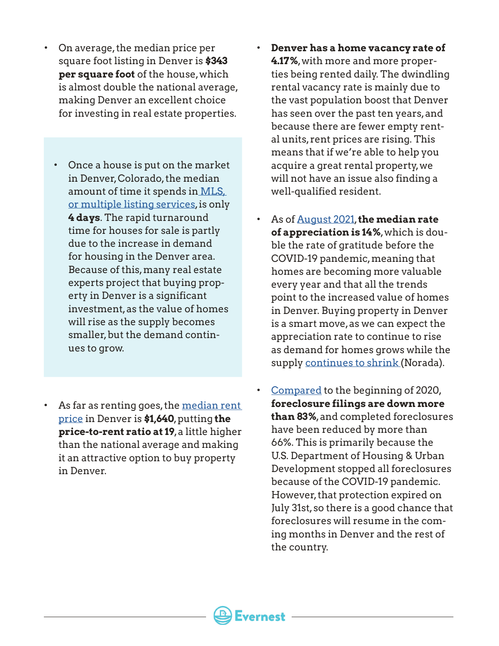- On average, the median price per square foot listing in Denver is **\$343 per square foot** of the house, which is almost double the national average, making Denver an excellent choice for investing in real estate properties.
- Once a house is put on the market in Denver, Colorado, the median amount of time it spends in  $MLS<sub>r</sub>$ [or multiple listing services,](https://www.dmarealtors.com/sites/default/files/file/2021-08/DMAR_MarketTrendsReport_August2021.pdf) is only **4 days**. The rapid turnaround time for houses for sale is partly due to the increase in demand for housing in the Denver area. Because of this, many real estate experts project that buying property in Denver is a significant investment, as the value of homes will rise as the supply becomes smaller, but the demand continues to grow.
- As far as renting goes, the median rent [price](https://www.apartmentlist.com/co/denver#rent-report) in Denver is **\$1,640**, putting **the price-to-rent ratio at 19**, a little higher than the national average and making it an attractive option to buy property in Denver.
- **Denver has a home vacancy rate of 4.17%**, with more and more properties being rented daily. The dwindling rental vacancy rate is mainly due to the vast population boost that Denver has seen over the past ten years, and because there are fewer empty rental units, rent prices are rising. This means that if we're able to help you acquire a great rental property, we will not have an issue also finding a well-qualified resident.
- As of [August 2021](https://www.noradarealestate.com/blog/denver-real-estate-market/), **the median rate of appreciation is 14%**, which is double the rate of gratitude before the COVID-19 pandemic, meaning that homes are becoming more valuable every year and that all the trends point to the increased value of homes in Denver. Buying property in Denver is a smart move, as we can expect the appreciation rate to continue to rise as demand for homes grows while the supply [continues to shrink](https://www.noradarealestate.com/blog/denver-real-estate-market/) (Norada).
- [Compared](https://realestate.usnews.com/real-estate/articles/denver-real-estate-housing-market-forecasts-trends) to the beginning of 2020, **foreclosure filings are down more than 83%**, and completed foreclosures have been reduced by more than 66%. This is primarily because the U.S. Department of Housing & Urban Development stopped all foreclosures because of the COVID-19 pandemic. However, that protection expired on July 31st, so there is a good chance that foreclosures will resume in the coming months in Denver and the rest of the country.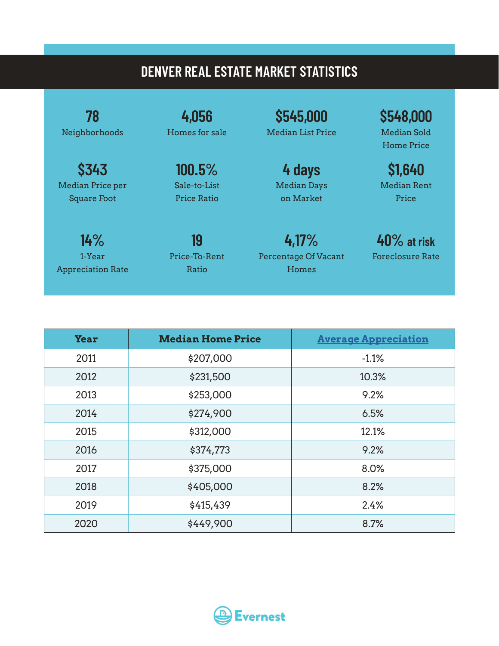#### **DENVER REAL ESTATE MARKET STATISTICS**

**78** Neighborhoods

**\$343**  Median Price per Square Foot

**4,056** Homes for sale

> **100.5%** Sale-to-List Price Ratio

**14%** 1-Year Appreciation Rate

**19** Price-To-Rent Ratio

**4,17%** Percentage Of Vacant Homes

**\$545,000** Median List Price

> **4 days** Median Days on Market

**\$548,000** Median Sold Home Price

**\$1,640** Median Rent Price

**40% at risk**  Foreclosure Rate

| <b>Year</b> | <b>Median Home Price</b> | <b>Average Appreciation</b> |
|-------------|--------------------------|-----------------------------|
| 2011        | \$207,000                | $-1.1%$                     |
| 2012        | \$231,500                | 10.3%                       |
| 2013        | \$253,000                | 9.2%                        |
| 2014        | \$274,900                | 6.5%                        |
| 2015        | \$312,000                | 12.1%                       |
| 2016        | \$374,773                | 9.2%                        |
| 2017        | \$375,000                | 8.0%                        |
| 2018        | \$405,000                | 8.2%                        |
| 2019        | \$415,439                | 2.4%                        |
| 2020        | \$449,900                | 8.7%                        |

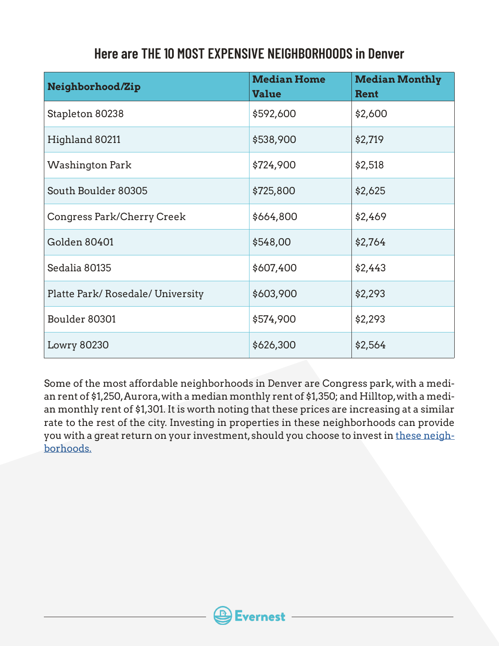#### **Here are THE 10 MOST EXPENSIVE NEIGHBORHOODS in Denver**

| Neighborhood/Zip                | <b>Median Home</b><br><b>Value</b> | <b>Median Monthly</b><br>Rent |
|---------------------------------|------------------------------------|-------------------------------|
| Stapleton 80238                 | \$592,600                          | \$2,600                       |
| Highland 80211                  | \$538,900                          | \$2,719                       |
| <b>Washington Park</b>          | \$724,900                          | \$2,518                       |
| South Boulder 80305             | \$725,800                          | \$2,625                       |
| Congress Park/Cherry Creek      | \$664,800                          | \$2,469                       |
| <b>Golden 80401</b>             | \$548,00                           | \$2,764                       |
| Sedalia 80135                   | \$607,400                          | \$2,443                       |
| Platte Park/Rosedale/University | \$603,900                          | \$2,293                       |
| Boulder 80301                   | \$574,900                          | \$2,293                       |
| <b>Lowry 80230</b>              | \$626,300                          | \$2,564                       |

Some of the most affordable neighborhoods in Denver are Congress park, with a median rent of \$1,250, Aurora, with a median monthly rent of \$1,350; and Hilltop, with a median monthly rent of \$1,301. It is worth noting that these prices are increasing at a similar rate to the rest of the city. Investing in properties in these neighborhoods can provide you with a great return on your investment, should you choose to invest in [these neigh](https://www.bizjournals.com/denver/news/2020/01/29/denver-no-1-city-attracting-renters.html?ana=e_me_set1&j=90458131&t=Morning&mkt_tok=eyJpIjoiWm1ZNVlUZzBZakZtTm1FMCIsInQiOiJLenZxQzBKbUxVZnhtYUQrNkpscGVONWsxdHhVZURLZGxydGhkSkZmN0o2cjNFa05kSmdjdzM5bXBcL3NcL0NESzhvSDNxeHo5ZHlBek5uNlNENGVQaEowOXNQUmdoOFlaWUN2Q1lQUUpqK3dobE9WODRJRWliazVkSENFREQ1SjhyIn0%3D#g/448835/16)[borhoods.](https://www.bizjournals.com/denver/news/2020/01/29/denver-no-1-city-attracting-renters.html?ana=e_me_set1&j=90458131&t=Morning&mkt_tok=eyJpIjoiWm1ZNVlUZzBZakZtTm1FMCIsInQiOiJLenZxQzBKbUxVZnhtYUQrNkpscGVONWsxdHhVZURLZGxydGhkSkZmN0o2cjNFa05kSmdjdzM5bXBcL3NcL0NESzhvSDNxeHo5ZHlBek5uNlNENGVQaEowOXNQUmdoOFlaWUN2Q1lQUUpqK3dobE9WODRJRWliazVkSENFREQ1SjhyIn0%3D#g/448835/16)

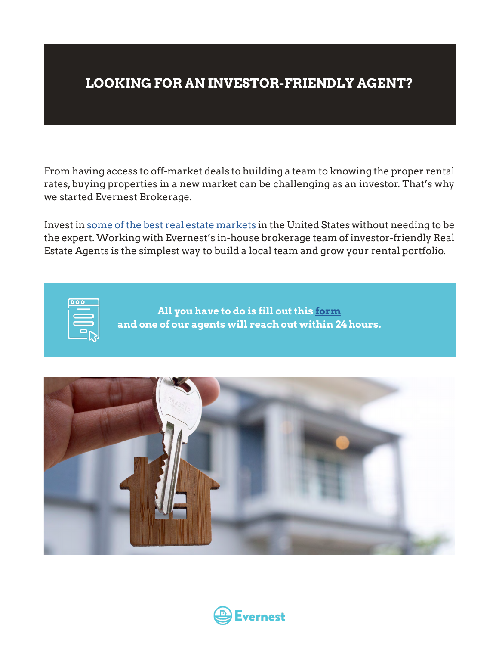#### **LOOKING FOR AN INVESTOR-FRIENDLY AGENT?**

From having access to off-market deals to building a team to knowing the proper rental rates, buying properties in a new market can be challenging as an investor. That's why we started Evernest Brokerage.

Invest in [some of the best real estate markets](https://www.evernest.co/locations/) in the United States without needing to be the expert. Working with Evernest's in-house brokerage team of investor-friendly Real Estate Agents is the simplest way to build a local team and grow your rental portfolio.

| o<br>ċ |  |
|--------|--|
|        |  |
|        |  |
|        |  |
|        |  |
|        |  |

**All you have to do is fill out this [form](https://www.evernest.co/pocket-listings/) and one of our agents will reach out within 24 hours.**



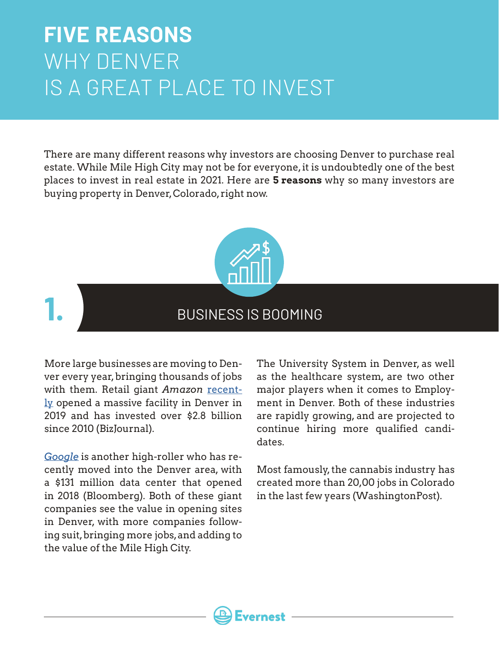### **FIVE REASONS** WHY DENVER IS A GREAT PLACE TO INVEST

There are many different reasons why investors are choosing Denver to purchase real estate. While Mile High City may not be for everyone, it is undoubtedly one of the best places to invest in real estate in 2021. Here are **5 reasons** why so many investors are buying property in Denver, Colorado, right now.



#### BUSINESS IS BOOMING

More large businesses are moving to Denver every year, bringing thousands of jobs with them. Retail giant Amazon [recent](https://www.bizjournals.com/denver/news/2020/08/18/amazon-denver-expansion.html)[ly](https://www.bizjournals.com/denver/news/2020/08/18/amazon-denver-expansion.html) opened a massive facility in Denver in 2019 and has invested over \$2.8 billion since 2010 (BizJournal).

**1.**

*[Google](https://www.bloomberg.com/news/photo-essays/2018-02-23/inside-google-s-131-million-boulder-campus)* is another high-roller who has recently moved into the Denver area, with a \$131 million data center that opened in 2018 (Bloomberg). Both of these giant companies see the value in opening sites in Denver, with more companies following suit, bringing more jobs, and adding to the value of the Mile High City.

The University System in Denver, as well as the healthcare system, are two other major players when it comes to Employment in Denver. Both of these industries are rapidly growing, and are projected to continue hiring more qualified candidates.

Most famously, the cannabis industry has created more than 20,00 jobs in Colorado in the last few years (WashingtonPost).

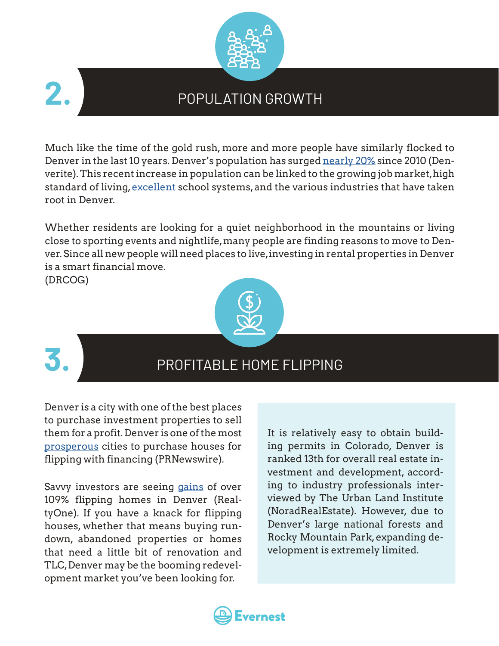

### POPULATION GROWTH

Much like the time of the gold rush, more and more people have similarly flocked to Denver in the last 10 years. Denver's population has surged [nearly 20%](https://denverite.com/2021/08/12/denver-population-growth/) since 2010 (Denverite). This recent increase in population can be linked to the growing job market, high standard of living, [excellent](https://www.greatschools.org/colorado/denver/) school systems, and the various industries that have taken root in Denver.

Whether residents are looking for a quiet neighborhood in the mountains or living close to sporting events and nightlife, many people are finding reasons to move to Denver. Since all new people will need places to live, investing in rental properties in Denver is a smart financial move.

(DRCOG)





#### PROFITABLE HOME FLIPPING

Denver is a city with one of the best places to purchase investment properties to sell them for a profit. Denver is one of the most [prosperous](https://www.prnewswire.com/news-releases/home-flipping-loan-volume-rises-to-nine-year-high-in-q1-2017-as-average-flipping-returns-decline-for-second-straight-quarter-300470871.html) cities to purchase houses for flipping with financing (PRNewswire).

Savvy investors are seeing [gains](http://realtyonegroupfivestar.com/why-denver-is-the-best-city-in-colorado-for-flipping-houses/) of over 109% flipping homes in Denver (RealtyOne). If you have a knack for flipping houses, whether that means buying rundown, abandoned properties or homes that need a little bit of renovation and TLC, Denver may be the booming redevelopment market you've been looking for.

It is relatively easy to obtain building permits in Colorado, Denver is ranked 13th for overall real estate investment and development, according to industry professionals interviewed by The Urban Land Institute (NoradRealEstate). However, due to Denver's large national forests and Rocky Mountain Park, expanding development is extremely limited.

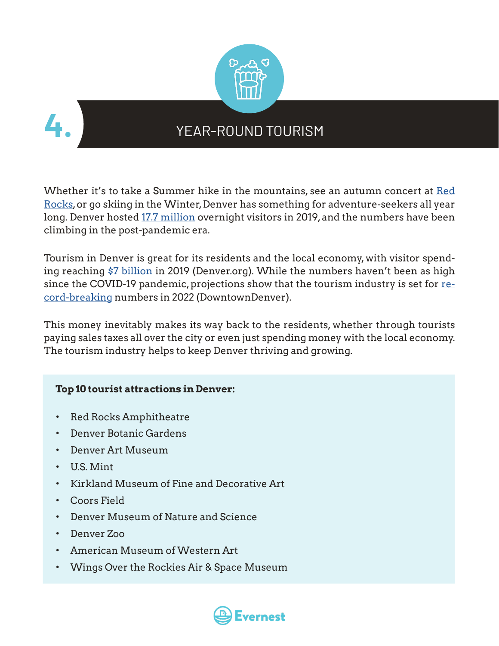



#### YEAR-ROUND TOURISM

Whether it's to take a Summer hike in the mountains, see an autumn concert at [Red](https://www.redrocksonline.com/) [Rocks,](https://www.redrocksonline.com/) or go skiing in the Winter, Denver has something for adventure-seekers all year long. Denver hosted [17.7 million](https://www.denver.org/tourism-pays/tourism-pays-for-denver/) overnight visitors in 2019, and the numbers have been climbing in the post-pandemic era.

Tourism in Denver is great for its residents and the local economy, with visitor spend-ing reaching [\\$7 billion](https://www.denver.org/tourism-pays/tourism-pays-for-denver/) in 2019 (Denver.org). While the numbers haven't been as high since the COVID-19 pandemic, projections show that the tourism industry is set for [re](https://www.downtowndenver.com/business-advantages-and-economic-development/state-of-downtown-denver/)[cord-breaking](https://www.downtowndenver.com/business-advantages-and-economic-development/state-of-downtown-denver/) numbers in 2022 (DowntownDenver).

This money inevitably makes its way back to the residents, whether through tourists paying sales taxes all over the city or even just spending money with the local economy. The tourism industry helps to keep Denver thriving and growing.

#### **Top 10 tourist attractions in Denver:**

- Red Rocks Amphitheatre
- Denver Botanic Gardens
- Denver Art Museum
- U.S. Mint
- Kirkland Museum of Fine and Decorative Art
- Coors Field
- Denver Museum of Nature and Science
- Denver Zoo
- American Museum of Western Art
- Wings Over the Rockies Air & Space Museum

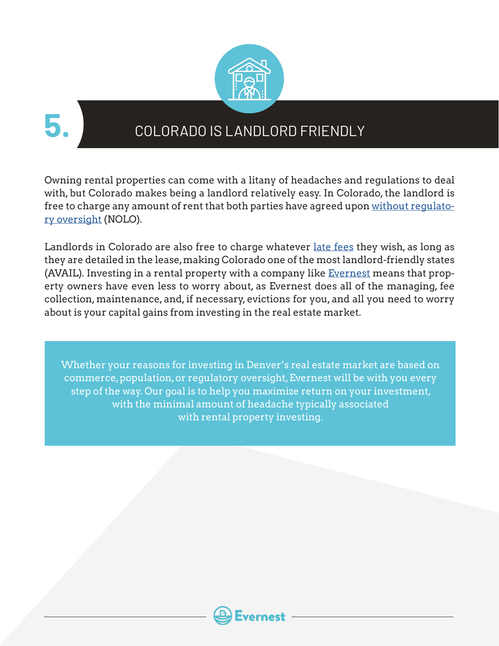

**5.**

#### COLORADO IS LANDLORD FRIENDLY

Owning rental properties can come with a litany of headaches and regulations to deal with, but Colorado makes being a landlord relatively easy. In Colorado, the landlord is free to charge any amount of rent that both parties have agreed upon [without regulato](https://www.nolo.com/legal-encyclopedia/overview-landlord-tenant-laws-colorado.html)[ry oversight](https://www.nolo.com/legal-encyclopedia/overview-landlord-tenant-laws-colorado.html) (NOLO).

Landlords in Colorado are also free to charge whatever [late fees](https://www.avail.co/education/laws/colorado-landlord-tenant-law) they wish, as long as they are detailed in the lease, making Colorado one of the most landlord-friendly states (AVAIL). Investing in a rental property with a company like [Evernest](http://evernest.co/) means that property owners have even less to worry about, as Evernest does all of the managing, fee collection, maintenance, and, if necessary, evictions for you, and all you need to worry about is your capital gains from investing in the real estate market.

Whether your reasons for investing in Denver's real estate market are based on commerce, population, or regulatory oversight, Evernest will be with you every step of the way. Our goal is to help you maximize return on your investment, with the minimal amount of headache typically associated with rental property investing.

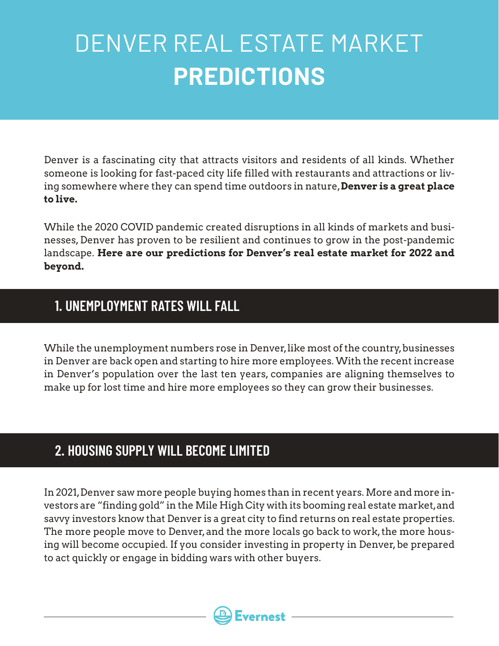## DENVER REAL ESTATE MARKET **PREDICTIONS**

Denver is a fascinating city that attracts visitors and residents of all kinds. Whether someone is looking for fast-paced city life filled with restaurants and attractions or living somewhere where they can spend time outdoors in nature, **Denver is a great place to live.**

While the 2020 COVID pandemic created disruptions in all kinds of markets and businesses, Denver has proven to be resilient and continues to grow in the post-pandemic landscape. **Here are our predictions for Denver's real estate market for 2022 and beyond.**

#### **1. UNEMPLOYMENT RATES WILL FALL**

While the unemployment numbers rose in Denver, like most of the country, businesses in Denver are back open and starting to hire more employees. With the recent increase in Denver's population over the last ten years, companies are aligning themselves to make up for lost time and hire more employees so they can grow their businesses.

#### **2. HOUSING SUPPLY WILL BECOME LIMITED**

In 2021, Denver saw more people buying homes than in recent years. More and more investors are "finding gold" in the Mile High City with its booming real estate market, and savvy investors know that Denver is a great city to find returns on real estate properties. The more people move to Denver, and the more locals go back to work, the more housing will become occupied. If you consider investing in property in Denver, be prepared to act quickly or engage in bidding wars with other buyers.

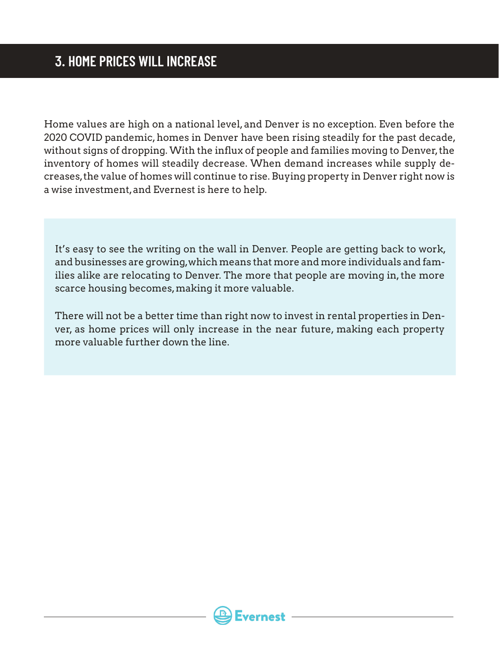Home values are high on a national level, and Denver is no exception. Even before the 2020 COVID pandemic, homes in Denver have been rising steadily for the past decade, without signs of dropping. With the influx of people and families moving to Denver, the inventory of homes will steadily decrease. When demand increases while supply decreases, the value of homes will continue to rise. Buying property in Denver right now is a wise investment, and Evernest is here to help.

It's easy to see the writing on the wall in Denver. People are getting back to work, and businesses are growing, which means that more and more individuals and families alike are relocating to Denver. The more that people are moving in, the more scarce housing becomes, making it more valuable.

There will not be a better time than right now to invest in rental properties in Denver, as home prices will only increase in the near future, making each property more valuable further down the line.

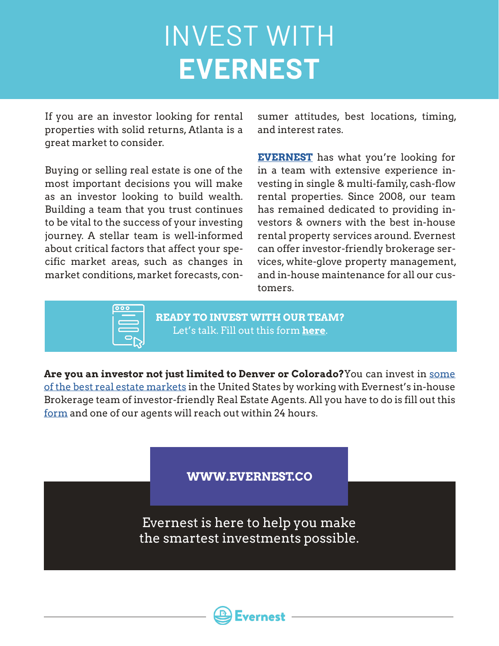# INVEST WITH **EVERNEST**

If you are an investor looking for rental properties with solid returns, Atlanta is a great market to consider.

Buying or selling real estate is one of the most important decisions you will make as an investor looking to build wealth. Building a team that you trust continues to be vital to the success of your investing journey. A stellar team is well-informed about critical factors that affect your specific market areas, such as changes in market conditions, market forecasts, consumer attitudes, best locations, timing, and interest rates.

**[EVERNEST](http://evernest.co)** has what you're looking for in a team with extensive experience investing in single & multi-family, cash-flow rental properties. Since 2008, our team has remained dedicated to providing investors & owners with the best in-house rental property services around. Evernest can offer investor-friendly brokerage services, white-glove property management, and in-house maintenance for all our customers.



**READY TO INVEST WITH OUR TEAM?** Let's talk. Fill out this form **[here](https://www.evernest.co/pocket-listings/)**.

**Are you an investor not just limited to Denver or Colorado?**You can invest in [some](https://www.evernest.co/locations/)  [of the best real estate markets](https://www.evernest.co/locations/) in the United States by working with Evernest's in-house Brokerage team of investor-friendly Real Estate Agents. All you have to do is fill out this [form](https://www.evernest.co/pocket-listings/) and one of our agents will reach out within 24 hours.

**WWW.EVERNEST.CO**

Evernest is here to help you make the smartest investments possible.

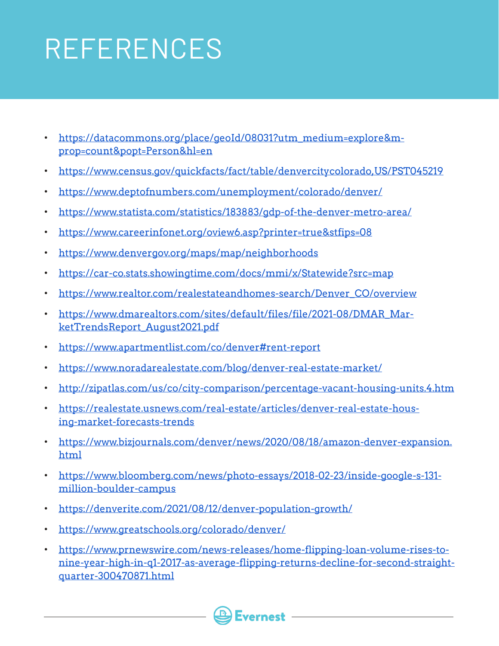# REFERENCES

- [https://datacommons.org/place/geoId/08031?utm\\_medium=explore&m](https://datacommons.org/place/geoId/08031?utm_medium=explore&mprop=count&popt=Person&hl=en)[prop=count&popt=Person&hl=en](https://datacommons.org/place/geoId/08031?utm_medium=explore&mprop=count&popt=Person&hl=en)
- <https://www.census.gov/quickfacts/fact/table/denvercitycolorado,US/PST045219>
- <https://www.deptofnumbers.com/unemployment/colorado/denver/>
- <https://www.statista.com/statistics/183883/gdp-of-the-denver-metro-area/>
- <https://www.careerinfonet.org/oview6.asp?printer=true&stfips=08>
- <https://www.denvergov.org/maps/map/neighborhoods>
- <https://car-co.stats.showingtime.com/docs/mmi/x/Statewide?src=map>
- [https://www.realtor.com/realestateandhomes-search/Denver\\_CO/overview](https://www.realtor.com/realestateandhomes-search/Denver_CO/overview)
- [https://www.dmarealtors.com/sites/default/files/file/2021-08/DMAR\\_Mar](https://www.dmarealtors.com/sites/default/files/file/2021-08/DMAR_MarketTrendsReport_August2021.pdf)[ketTrendsReport\\_August2021.pdf](https://www.dmarealtors.com/sites/default/files/file/2021-08/DMAR_MarketTrendsReport_August2021.pdf)
- [https://www.apartmentlist.com/co/denver#rent-report](https://www.apartmentlist.com/co/denver%23rent-report)
- <https://www.noradarealestate.com/blog/denver-real-estate-market/>
- <http://zipatlas.com/us/co/city-comparison/percentage-vacant-housing-units.4.htm>
- [https://realestate.usnews.com/real-estate/articles/denver-real-estate-hous](https://realestate.usnews.com/real-estate/articles/denver-real-estate-housing-market-forecasts-trends)[ing-market-forecasts-trends](https://realestate.usnews.com/real-estate/articles/denver-real-estate-housing-market-forecasts-trends)
- [https://www.bizjournals.com/denver/news/2020/08/18/amazon-denver-expansion.](https://www.bizjournals.com/denver/news/2020/08/18/amazon-denver-expansion.html) [html](https://www.bizjournals.com/denver/news/2020/08/18/amazon-denver-expansion.html)
- [https://www.bloomberg.com/news/photo-essays/2018-02-23/inside-google-s-131](https://www.bloomberg.com/news/photo-essays/2018-02-23/inside-google-s-131-million-boulder-campus) [million-boulder-campus](https://www.bloomberg.com/news/photo-essays/2018-02-23/inside-google-s-131-million-boulder-campus)
- <https://denverite.com/2021/08/12/denver-population-growth/>
- <https://www.greatschools.org/colorado/denver/>
- [https://www.prnewswire.com/news-releases/home-flipping-loan-volume-rises-to](https://www.prnewswire.com/news-releases/home-flipping-loan-volume-rises-to-nine-year-high-in-q1-2017-as-average-flipping-returns-decline-for-second-straight-quarter-300470871.html)[nine-year-high-in-q1-2017-as-average-flipping-returns-decline-for-second-straight](https://www.prnewswire.com/news-releases/home-flipping-loan-volume-rises-to-nine-year-high-in-q1-2017-as-average-flipping-returns-decline-for-second-straight-quarter-300470871.html)[quarter-300470871.html](https://www.prnewswire.com/news-releases/home-flipping-loan-volume-rises-to-nine-year-high-in-q1-2017-as-average-flipping-returns-decline-for-second-straight-quarter-300470871.html)